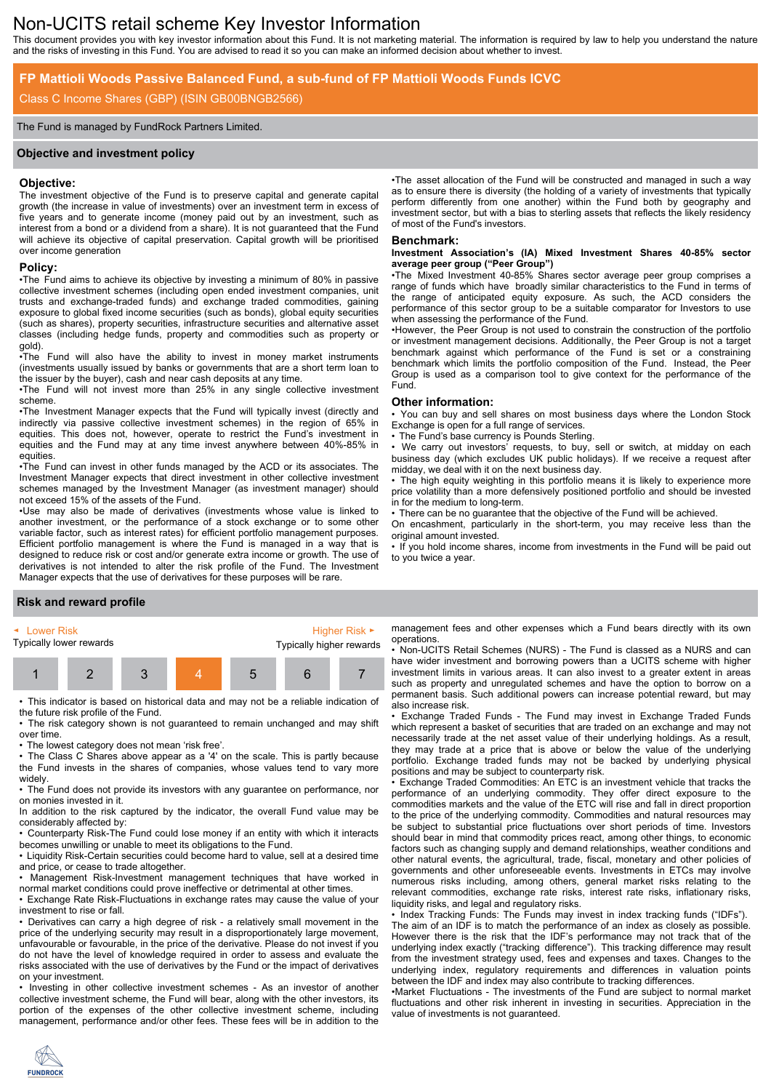# Non-UCITS retail scheme Key Investor Information

This document provides you with key investor information about this Fund. It is not marketing material. The information is required by law to help you understand the nature and the risks of investing in this Fund. You are advised to read it so you can make an informed decision about whether to invest.

**Benchmark:**

Fund.

**Other information:**

in for the medium to long-term.

original amount invested.

to you twice a year.

**average peer group ("Peer Group")**

of most of the Fund's investors.

when assessing the performance of the Fund.

Exchange is open for a full range of services. The Fund's base currency is Pounds Sterling.

midday, we deal with it on the next business day.

## **FP Mattioli Woods Passive Balanced Fund, a sub-fund of FP Mattioli Woods Funds ICVC**

### Class C Income Shares (GBP) (ISIN GB00BNGB2566)

### The Fund is managed by FundRock Partners Limited.

### **Objective and investment policy**

### **Objective:**

The investment objective of the Fund is to preserve capital and generate capital growth (the increase in value of investments) over an investment term in excess of five years and to generate income (money paid out by an investment, such as interest from a bond or a dividend from a share). It is not guaranteed that the Fund will achieve its objective of capital preservation. Capital growth will be prioritised over income generation

# **Policy:**

•The Fund aims to achieve its objective by investing a minimum of 80% in passive collective investment schemes (including open ended investment companies, unit trusts and exchange-traded funds) and exchange traded commodities, gaining exposure to global fixed income securities (such as bonds), global equity securities (such as shares), property securities, infrastructure securities and alternative asset classes (including hedge funds, property and commodities such as property or gold).

•The Fund will also have the ability to invest in money market instruments (investments usually issued by banks or governments that are a short term loan to the issuer by the buyer), cash and near cash deposits at any time.

•The Fund will not invest more than 25% in any single collective investment scheme.

•The Investment Manager expects that the Fund will typically invest (directly and indirectly via passive collective investment schemes) in the region of 65% in equities. This does not, however, operate to restrict the Fund's investment in equities and the Fund may at any time invest anywhere between 40%-85% in equities.

•The Fund can invest in other funds managed by the ACD or its associates. The Investment Manager expects that direct investment in other collective investment schemes managed by the Investment Manager (as investment manager) should not exceed 15% of the assets of the Fund.

•Use may also be made of derivatives (investments whose value is linked to another investment, or the performance of a stock exchange or to some other variable factor, such as interest rates) for efficient portfolio management purposes. Efficient portfolio management is where the Fund is managed in a way that is designed to reduce risk or cost and/or generate extra income or growth. The use of derivatives is not intended to alter the risk profile of the Fund. The Investment Manager expects that the use of derivatives for these purposes will be rare.

management fees and other expenses which a Fund bears directly with its own operations.

**Investment Association's (IA) Mixed Investment Shares 40-85% sector**

•The asset allocation of the Fund will be constructed and managed in such a way as to ensure there is diversity (the holding of a variety of investments that typically perform differently from one another) within the Fund both by geography and investment sector, but with a bias to sterling assets that reflects the likely residency

•The Mixed Investment 40-85% Shares sector average peer group comprises a range of funds which have broadly similar characteristics to the Fund in terms of the range of anticipated equity exposure. As such, the ACD considers the performance of this sector group to be a suitable comparator for Investors to use

•However, the Peer Group is not used to constrain the construction of the portfolio or investment management decisions. Additionally, the Peer Group is not a target benchmark against which performance of the Fund is set or a constraining benchmark which limits the portfolio composition of the Fund. Instead, the Peer Group is used as a comparison tool to give context for the performance of the

• You can buy and sell shares on most business days where the London Stock

We carry out investors' requests, to buy, sell or switch, at midday on each business day (which excludes UK public holidays). If we receive a request after

The high equity weighting in this portfolio means it is likely to experience more price volatility than a more defensively positioned portfolio and should be invested

• If you hold income shares, income from investments in the Fund will be paid out

• There can be no guarantee that the objective of the Fund will be achieved. On encashment, particularly in the short-term, you may receive less than the

• Non-UCITS Retail Schemes (NURS) - The Fund is classed as a NURS and can have wider investment and borrowing powers than a UCITS scheme with higher investment limits in various areas. It can also invest to a greater extent in areas such as property and unregulated schemes and have the option to borrow on a permanent basis. Such additional powers can increase potential reward, but may also increase risk.

• Exchange Traded Funds - The Fund may invest in Exchange Traded Funds which represent a basket of securities that are traded on an exchange and may not necessarily trade at the net asset value of their underlying holdings. As a result, they may trade at a price that is above or below the value of the underlying portfolio. Exchange traded funds may not be backed by underlying physical positions and may be subject to counterparty risk.

• Exchange Traded Commodities: An ETC is an investment vehicle that tracks the performance of an underlying commodity. They offer direct exposure to the commodities markets and the value of the ETC will rise and fall in direct proportion to the price of the underlying commodity. Commodities and natural resources may be subject to substantial price fluctuations over short periods of time. Investors should bear in mind that commodity prices react, among other things, to economic factors such as changing supply and demand relationships, weather conditions and other natural events, the agricultural, trade, fiscal, monetary and other policies of governments and other unforeseeable events. Investments in ETCs may involve numerous risks including, among others, general market risks relating to the relevant commodities, exchange rate risks, interest rate risks, inflationary risks, liquidity risks, and legal and regulatory risks.

• Index Tracking Funds: The Funds may invest in index tracking funds ("IDFs"). The aim of an IDF is to match the performance of an index as closely as possible. However there is the risk that the IDF's performance may not track that of the underlying index exactly ("tracking difference"). This tracking difference may result from the investment strategy used, fees and expenses and taxes. Changes to the underlying index, regulatory requirements and differences in valuation points between the IDF and index may also contribute to tracking differences.

•Market Fluctuations - The investments of the Fund are subject to normal market fluctuations and other risk inherent in investing in securities. Appreciation in the value of investments is not guaranteed.

### **Risk and reward profile**

| ◄ Lower Risk            |  |   |  | Higher Risk $\blacktriangleright$ |  |  |
|-------------------------|--|---|--|-----------------------------------|--|--|
| Typically lower rewards |  |   |  | Typically higher rewards          |  |  |
|                         |  | 3 |  | $\mathbf{b}$                      |  |  |

• This indicator is based on historical data and may not be a reliable indication of the future risk profile of the Fund.

• The risk category shown is not guaranteed to remain unchanged and may shift over time.

• The lowest category does not mean 'risk free'.

• The Class C Shares above appear as a '4' on the scale. This is partly because the Fund invests in the shares of companies, whose values tend to vary more widely

• The Fund does not provide its investors with any guarantee on performance, nor on monies invested in it.

In addition to the risk captured by the indicator, the overall Fund value may be considerably affected by:

• Counterparty Risk-The Fund could lose money if an entity with which it interacts becomes unwilling or unable to meet its obligations to the Fund.

• Liquidity Risk-Certain securities could become hard to value, sell at a desired time and price, or cease to trade altogether.

• Management Risk-Investment management techniques that have worked in normal market conditions could prove ineffective or detrimental at other times.

• Exchange Rate Risk-Fluctuations in exchange rates may cause the value of your investment to rise or fall.

• Derivatives can carry a high degree of risk - a relatively small movement in the price of the underlying security may result in a disproportionately large movement, unfavourable or favourable, in the price of the derivative. Please do not invest if you do not have the level of knowledge required in order to assess and evaluate the risks associated with the use of derivatives by the Fund or the impact of derivatives on your investment.

• Investing in other collective investment schemes - As an investor of another collective investment scheme, the Fund will bear, along with the other investors, its portion of the expenses of the other collective investment scheme, including management, performance and/or other fees. These fees will be in addition to the